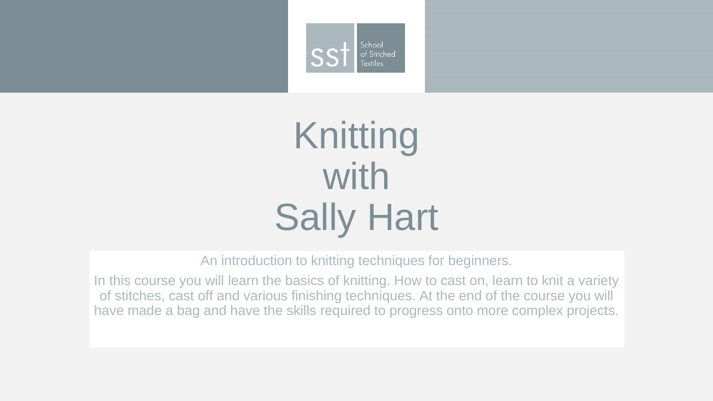

### Knitting with Sally Hart

An introduction to knitting techniques for beginners.

In this course you will learn the basics of knitting. How to cast on, learn to knit a variety of stitches, cast off and various finishing techniques. At the end of the course you will have made a bag and have the skills required to progress onto more complex projects.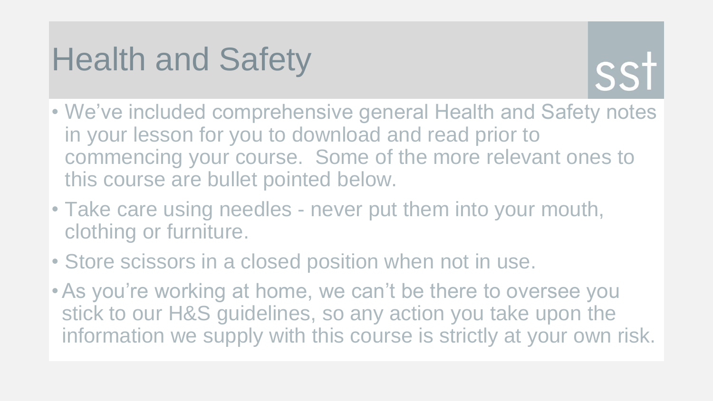#### Health and Safety



- We've included comprehensive general Health and Safety notes in your lesson for you to download and read prior to commencing your course. Some of the more relevant ones to this course are bullet pointed below.
- Take care using needles never put them into your mouth, clothing or furniture.
- Store scissors in a closed position when not in use.
- •As you're working at home, we can't be there to oversee you stick to our H&S guidelines, so any action you take upon the information we supply with this course is strictly at your own risk.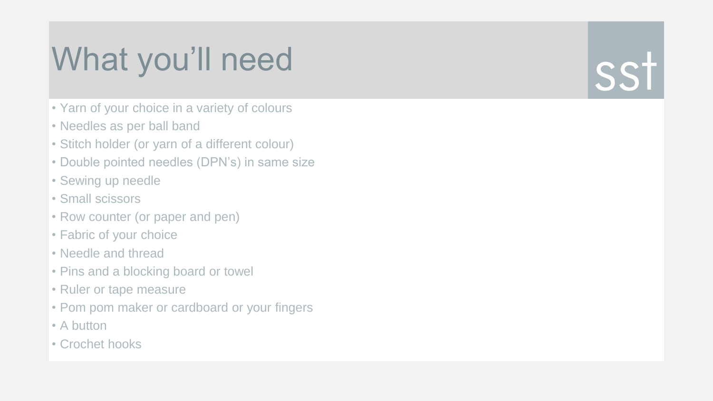### What you'll need

- Yarn of your choice in a variety of colours
- Needles as per ball band
- Stitch holder (or yarn of a different colour)
- Double pointed needles (DPN's) in same size
- Sewing up needle
- Small scissors
- Row counter (or paper and pen)
- Fabric of your choice
- Needle and thread
- Pins and a blocking board or towel
- Ruler or tape measure
- Pom pom maker or cardboard or your fingers
- A button
- Crochet hooks

## SST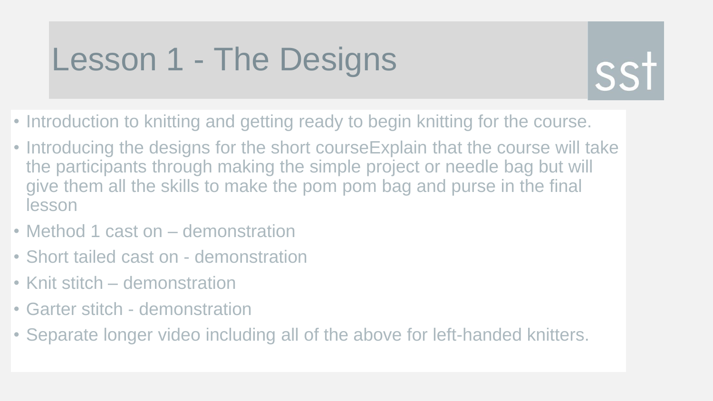#### Lesson 1 - The Designs



- Introduction to knitting and getting ready to begin knitting for the course.
- Introducing the designs for the short courseExplain that the course will take the participants through making the simple project or needle bag but will give them all the skills to make the pom pom bag and purse in the final lesson
- Method 1 cast on demonstration
- Short tailed cast on demonstration
- Knit stitch demonstration
- Garter stitch demonstration
- Separate longer video including all of the above for left-handed knitters.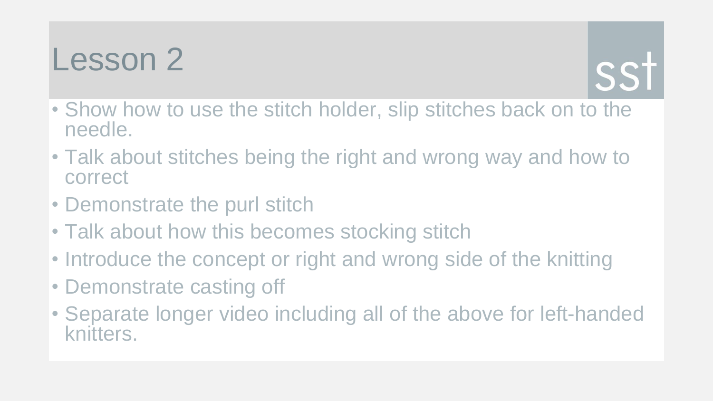

- Show how to use the stitch holder, slip stitches back on to the needle.
- Talk about stitches being the right and wrong way and how to correct
- Demonstrate the purl stitch
- Talk about how this becomes stocking stitch
- Introduce the concept or right and wrong side of the knitting
- Demonstrate casting off
- Separate longer video including all of the above for left-handed knitters.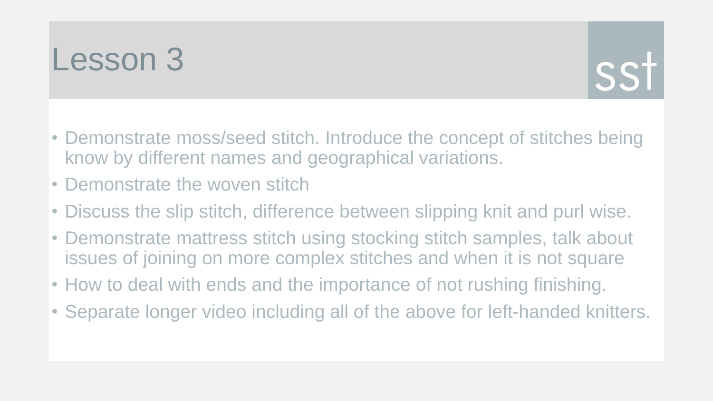# SS1

- Demonstrate moss/seed stitch. Introduce the concept of stitches being know by different names and geographical variations.
- Demonstrate the woven stitch
- Discuss the slip stitch, difference between slipping knit and purl wise.
- Demonstrate mattress stitch using stocking stitch samples, talk about issues of joining on more complex stitches and when it is not square
- How to deal with ends and the importance of not rushing finishing.
- Separate longer video including all of the above for left-handed knitters.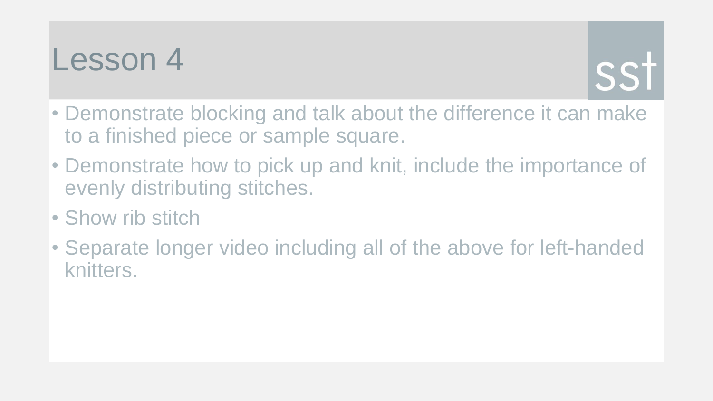

- Demonstrate blocking and talk about the difference it can make to a finished piece or sample square.
- Demonstrate how to pick up and knit, include the importance of evenly distributing stitches.
- Show rib stitch
- Separate longer video including all of the above for left-handed knitters.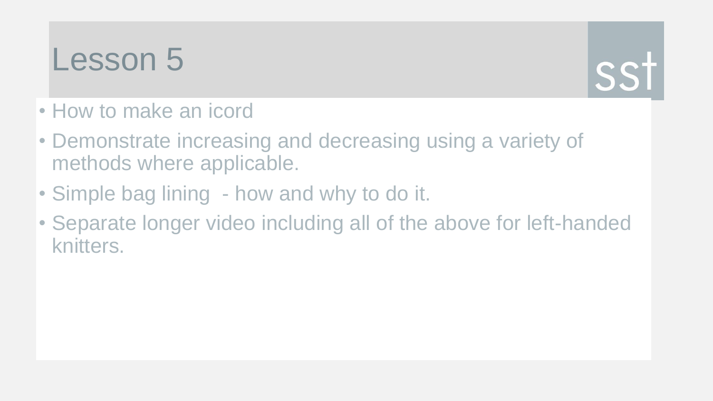

- How to make an icord
- Demonstrate increasing and decreasing using a variety of methods where applicable.
- Simple bag lining how and why to do it.
- Separate longer video including all of the above for left-handed knitters.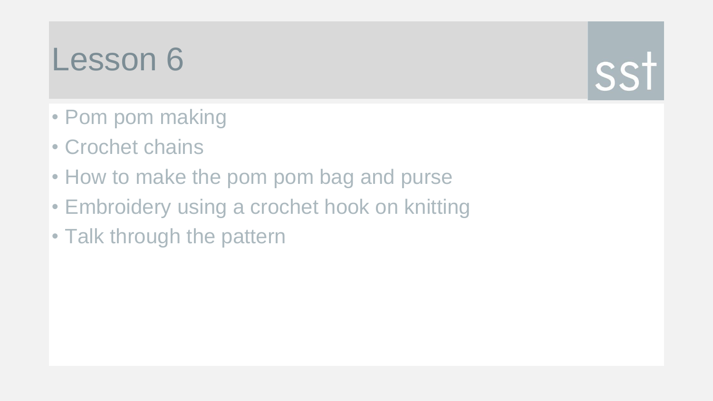- Pom pom making
- Crochet chains
- How to make the pom pom bag and purse
- Embroidery using a crochet hook on knitting

SS1

• Talk through the pattern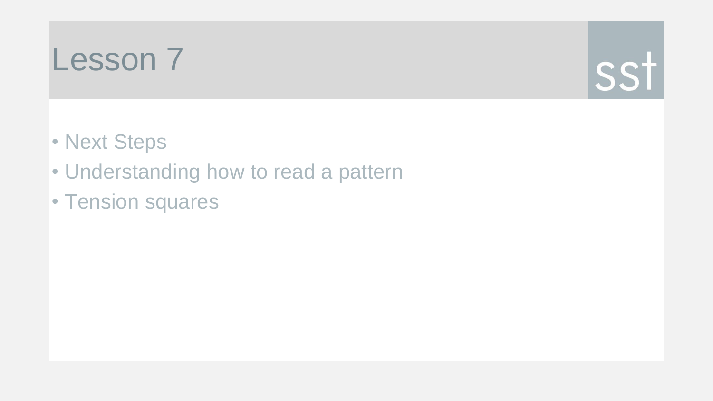

- Next Steps
- Understanding how to read a pattern
- Tension squares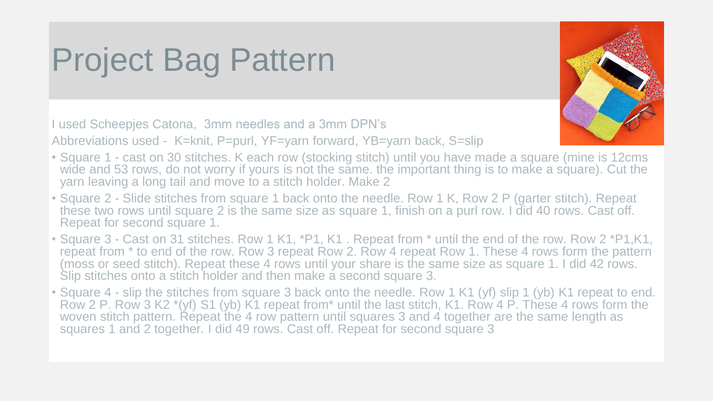#### Project Bag Pattern

I used Scheepjes Catona, 3mm needles and a 3mm DPN's

Abbreviations used - K=knit, P=purl, YF=yarn forward, YB=yarn back, S=slip

- 
- Square 1 cast on 30 stitches. K each row (stocking stitch) until you have made a square (mine is 12cms wide and 53 rows, do not worry if yours is not the same. the important thing is to make a square). Cut the yarn leaving a long tail and move to a stitch holder. Make 2
- Square 2 Slide stitches from square 1 back onto the needle. Row 1 K, Row 2 P (garter stitch). Repeat these two rows until square 2 is the same size as square 1, finish on a purl row. I did 40 rows. Cast off. Repeat for second square 1.
- Square 3 Cast on 31 stitches. Row 1 K1, \*P1, K1 . Repeat from \* until the end of the row. Row 2 \*P1,K1, repeat from  $*$  to end of the row. Row 3 repeat Row 2. Row 4 repeat Row 1. These 4 rows form the pattern (moss or seed stitch). Repeat these 4 rows until your share is the same size as square 1. I did 42 rows. Slip stitches onto a stitch holder and then make a second square 3.
- Square 4 slip the stitches from square 3 back onto the needle. Row 1 K1 (yf) slip 1 (yb) K1 repeat to end. Row 2 P. Row 3 K2 \*(yf) S1 (yb) K1 repeat from\* until the last stitch, K1. Row 4 P. These 4 rows form the woven stitch pattern. Repeat the 4 row pattern until squares 3 and 4 together are the same length as squares 1 and 2 together. I did 49 rows. Cast off. Repeat for second square 3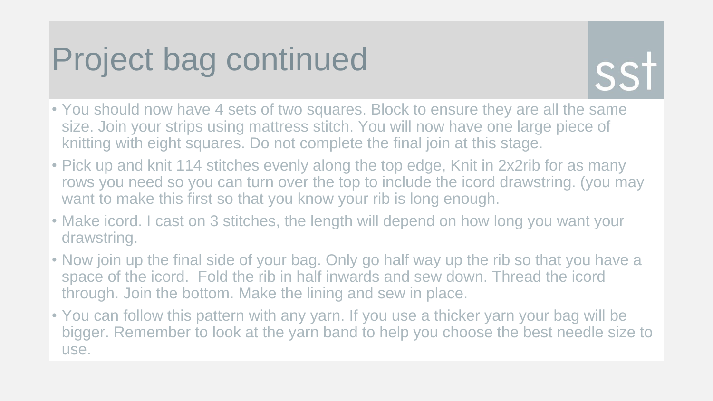#### Project bag continued



- You should now have 4 sets of two squares. Block to ensure they are all the same size. Join your strips using mattress stitch. You will now have one large piece of knitting with eight squares. Do not complete the final join at this stage.
- Pick up and knit 114 stitches evenly along the top edge, Knit in 2x2rib for as many rows you need so you can turn over the top to include the icord drawstring. (you may want to make this first so that you know your rib is long enough.
- Make icord. I cast on 3 stitches, the length will depend on how long you want your drawstring.
- Now join up the final side of your bag. Only go half way up the rib so that you have a space of the icord. Fold the rib in half inwards and sew down. Thread the icord through. Join the bottom. Make the lining and sew in place.
- You can follow this pattern with any yarn. If you use a thicker yarn your bag will be bigger. Remember to look at the yarn band to help you choose the best needle size to use.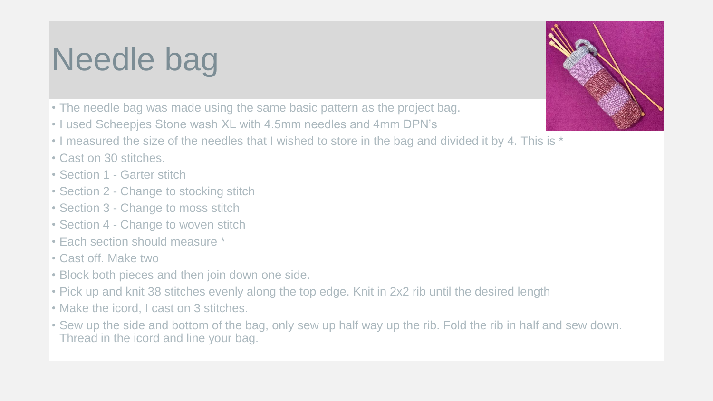#### Needle bag

- The needle bag was made using the same basic pattern as the project bag.
- I used Scheepjes Stone wash XL with 4.5mm needles and 4mm DPN's
- I measured the size of the needles that I wished to store in the bag and divided it by 4. This is \*
- Cast on 30 stitches.
- Section 1 Garter stitch
- Section 2 Change to stocking stitch
- Section 3 Change to moss stitch
- Section 4 Change to woven stitch
- Each section should measure \*
- Cast off. Make two
- Block both pieces and then join down one side.
- Pick up and knit 38 stitches evenly along the top edge. Knit in 2x2 rib until the desired length
- Make the icord, I cast on 3 stitches.
- Sew up the side and bottom of the bag, only sew up half way up the rib. Fold the rib in half and sew down. Thread in the icord and line your bag.

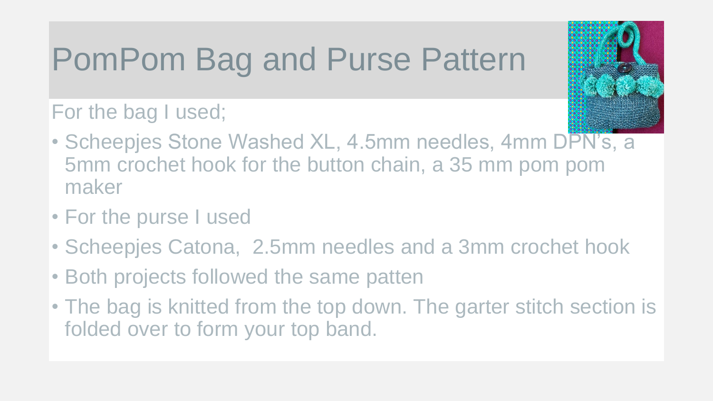### PomPom Bag and Purse Pattern

For the bag I used;

- Scheepjes Stone Washed XL, 4.5mm needles, 4mm DPN's, a 5mm crochet hook for the button chain, a 35 mm pom pom maker
- For the purse I used
- Scheepjes Catona, 2.5mm needles and a 3mm crochet hook
- Both projects followed the same patten
- The bag is knitted from the top down. The garter stitch section is folded over to form your top band.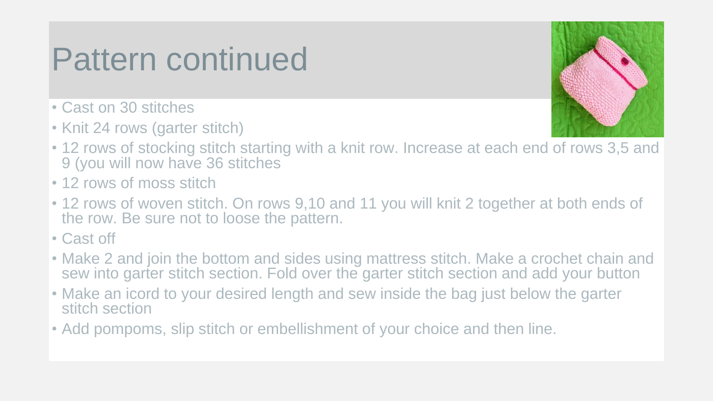#### Pattern continued

- Cast on 30 stitches
- Knit 24 rows (garter stitch)



- 12 rows of stocking stitch starting with a knit row. Increase at each end of rows 3,5 and 9 (you will now have 36 stitches
- 12 rows of moss stitch
- 12 rows of woven stitch. On rows 9,10 and 11 you will knit 2 together at both ends of the row. Be sure not to loose the pattern.
- Cast off
- Make 2 and join the bottom and sides using mattress stitch. Make a crochet chain and sew into garter stitch section. Fold over the garter stitch section and add your button
- Make an icord to your desired length and sew inside the bag just below the garter stitch section
- Add pompoms, slip stitch or embellishment of your choice and then line.